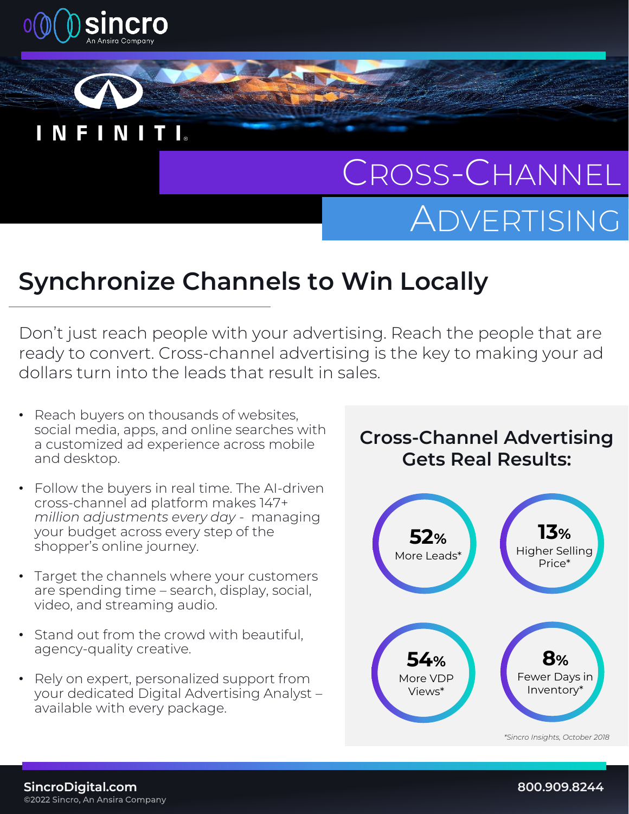



# CROSS-CHANNEL ADVERTISING

## **Synchronize Channels to Win Locally**

Don't just reach people with your advertising. Reach the people that are ready to convert. Cross-channel advertising is the key to making your ad dollars turn into the leads that result in sales.

- Reach buyers on thousands of websites, social media, apps, and online searches with a customized ad experience across mobile and desktop.
- Follow the buyers in real time. The AI-driven cross-channel ad platform makes 147+ *million adjustments every day* - managing your budget across every step of the shopper's online journey.
- Target the channels where your customers are spending time – search, display, social, video, and streaming audio.
- Stand out from the crowd with beautiful, agency-quality creative.
- Rely on expert, personalized support from your dedicated Digital Advertising Analyst – available with every package.

#### **Cross-Channel Advertising Gets Real Results:**

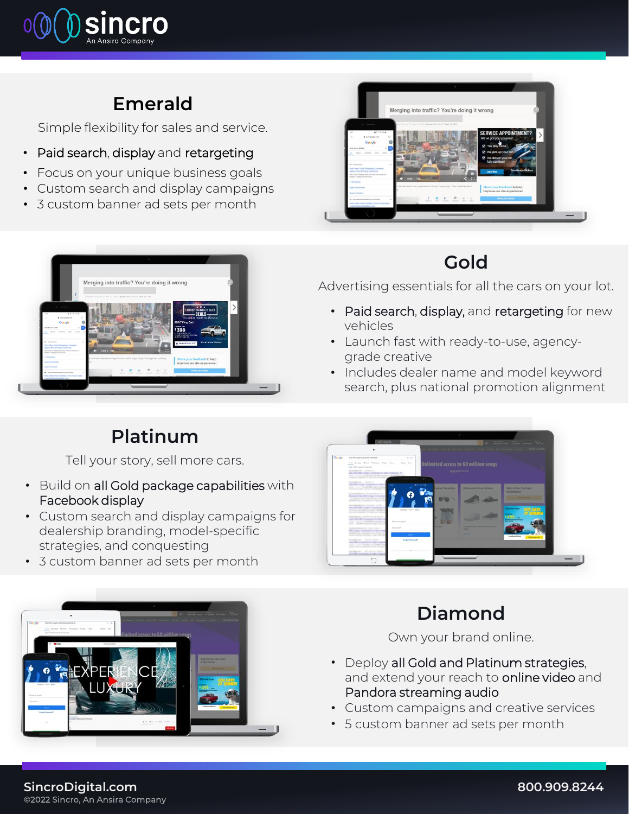

#### **Emerald**

Simple flexibility for sales and service.

- Paid search, display and retargeting
- Focus on your unique business goals
- Custom search and display campaigns
- 3 custom banner ad sets per month



### **Gold**

Advertising essentials for all the cars on your lot.

- Paid search, display, and retargeting for new vehicles
- Launch fast with ready-to-use, agencygrade creative
- Includes dealer name and model keyword search, plus national promotion alignment



### **Platinum**

Tell your story, sell more cars.

- Build on all Gold package capabilities with Facebook display
- Custom search and display campaigns for dealership branding, model-specific strategies, and conquesting
- 3 custom banner ad sets per month





### **Diamond**

Own your brand online.

- Deploy all Gold and Platinum strategies, and extend your reach to online video and Pandora streaming audio
- Custom campaigns and creative services
- 5 custom banner ad sets per month